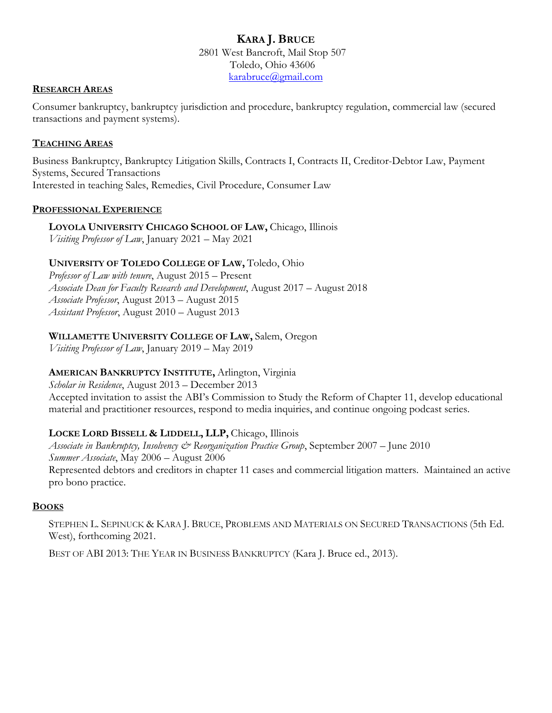# **KARA J. BRUCE** 2801 West Bancroft, Mail Stop 507 Toledo, Ohio 43606 [karabruce@gmail.com](mailto:kara.bruce@utoledo.edu)

### **RESEARCH AREAS**

Consumer bankruptcy, bankruptcy jurisdiction and procedure, bankruptcy regulation, commercial law (secured transactions and payment systems).

## **TEACHING AREAS**

Business Bankruptcy, Bankruptcy Litigation Skills, Contracts I, Contracts II, Creditor-Debtor Law, Payment Systems, Secured Transactions Interested in teaching Sales, Remedies, Civil Procedure, Consumer Law

#### **PROFESSIONAL EXPERIENCE**

**LOYOLA UNIVERSITY CHICAGO SCHOOL OF LAW,** Chicago, Illinois *Visiting Professor of Law*, January 2021 – May 2021

# **UNIVERSITY OF TOLEDO COLLEGE OF LAW,** Toledo, Ohio

*Professor of Law with tenure*, August 2015 – Present *Associate Dean for Faculty Research and Development*, August 2017 – August 2018 *Associate Professor*, August 2013 – August 2015 *Assistant Professor*, August 2010 – August 2013

# **WILLAMETTE UNIVERSITY COLLEGE OF LAW,** Salem, Oregon

*Visiting Professor of Law*, January 2019 – May 2019

# **AMERICAN BANKRUPTCY INSTITUTE,** Arlington, Virginia

*Scholar in Residence*, August 2013 – December 2013 Accepted invitation to assist the ABI's Commission to Study the Reform of Chapter 11, develop educational material and practitioner resources, respond to media inquiries, and continue ongoing podcast series.

# **LOCKE LORD BISSELL & LIDDELL, LLP,** Chicago, Illinois

*Associate in Bankruptcy, Insolvency & Reorganization Practice Group*, September 2007 – June 2010 *Summer Associate*, May 2006 – August 2006 Represented debtors and creditors in chapter 11 cases and commercial litigation matters. Maintained an active pro bono practice.

## **BOOKS**

STEPHEN L. SEPINUCK & KARA J. BRUCE, PROBLEMS AND MATERIALS ON SECURED TRANSACTIONS (5th Ed. West), forthcoming 2021.

BEST OF ABI 2013: THE YEAR IN BUSINESS BANKRUPTCY (Kara J. Bruce ed., 2013).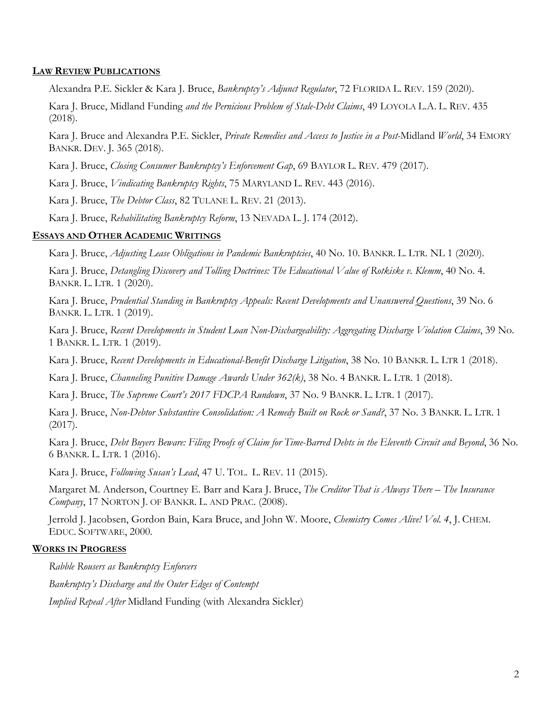#### **LAW REVIEW PUBLICATIONS**

Alexandra P.E. Sickler & Kara J. Bruce, *Bankruptcy's Adjunct Regulator*, 72 FLORIDA L. REV. 159 (2020).

Kara J. Bruce, Midland Funding *and the Pernicious Problem of Stale-Debt Claims*, 49 LOYOLA L.A. L. REV. 435 (2018).

Kara J. Bruce and Alexandra P.E. Sickler, *Private Remedies and Access to Justice in a Post-*Midland *World*, 34 EMORY BANKR. DEV. J. 365 (2018).

Kara J. Bruce, *Closing Consumer Bankruptcy's Enforcement Gap*, 69 BAYLOR L. REV. 479 (2017).

Kara J. Bruce, *Vindicating Bankruptcy Rights*, 75 MARYLAND L. REV. 443 (2016).

Kara J. Bruce, *The Debtor Class*, 82 TULANE L. REV. 21 (2013).

Kara J. Bruce, *Rehabilitating Bankruptcy Reform*, 13 NEVADA L. J. 174 (2012).

#### **ESSAYS AND OTHER ACADEMIC WRITINGS**

Kara J. Bruce, *Adjusting Lease Obligations in Pandemic Bankruptcies*, 40 No. 10. BANKR. L. LTR. NL 1 (2020).

Kara J. Bruce, *Detangling Discovery and Tolling Doctrines: The Educational Value of Rotkiske v. Klemm*, 40 No. 4. BANKR. L. LTR. 1 (2020).

Kara J. Bruce, *Prudential Standing in Bankruptcy Appeals: Recent Developments and Unanswered Questions*, 39 No. 6 BANKR. L. LTR. 1 (2019).

Kara J. Bruce, *Recent Developments in Student Loan Non-Dischargeability: Aggregating Discharge Violation Claims*, 39 No. 1 BANKR. L. LTR. 1 (2019).

Kara J. Bruce, *Recent Developments in Educational-Benefit Discharge Litigation*, 38 No. 10 BANKR. L. LTR 1 (2018).

Kara J. Bruce, *Channeling Punitive Damage Awards Under 362(k)*, 38 No. 4 BANKR. L. LTR. 1 (2018).

Kara J. Bruce, *The Supreme Court's 2017 FDCPA Rundown*, 37 No. 9 BANKR. L. LTR. 1 (2017).

Kara J. Bruce, *Non-Debtor Substantive Consolidation: A Remedy Built on Rock or Sand?*, 37 No. 3 BANKR. L. LTR. 1 (2017).

Kara J. Bruce, *Debt Buyers Beware: Filing Proofs of Claim for Time-Barred Debts in the Eleventh Circuit and Beyond*, 36 No. 6 BANKR. L. LTR. 1 (2016).

Kara J. Bruce, *Following Susan's Lead*, 47 U. TOL. L. REV. 11 (2015).

Margaret M. Anderson, Courtney E. Barr and Kara J. Bruce, *The Creditor That is Always There – The Insurance Company*, 17 NORTON J. OF BANKR. L. AND PRAC. (2008).

Jerrold J. Jacobsen, Gordon Bain, Kara Bruce, and John W. Moore, *Chemistry Comes Alive! Vol. 4*, J. CHEM. EDUC. SOFTWARE, 2000.

#### **WORKS IN PROGRESS**

*Rabble Rousers as Bankruptcy Enforcers*

*Bankruptcy's Discharge and the Outer Edges of Contempt*

*Implied Repeal After* Midland Funding (with Alexandra Sickler)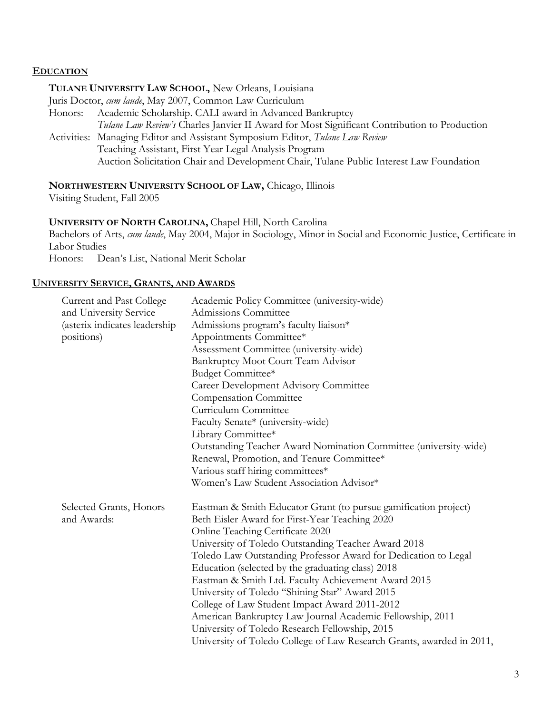# **EDUCATION**

### **TULANE UNIVERSITY LAW SCHOOL,** New Orleans, Louisiana

Juris Doctor, *cum laude*, May 2007, Common Law Curriculum

- Honors: Academic Scholarship. CALI award in Advanced Bankruptcy *Tulane Law Review's* Charles Janvier II Award for Most Significant Contribution to Production
- Activities: Managing Editor and Assistant Symposium Editor, *Tulane Law Review* Teaching Assistant, First Year Legal Analysis Program Auction Solicitation Chair and Development Chair, Tulane Public Interest Law Foundation

# **NORTHWESTERN UNIVERSITY SCHOOL OF LAW,** Chicago, Illinois

Visiting Student, Fall 2005

## **UNIVERSITY OF NORTH CAROLINA,** Chapel Hill, North Carolina

Bachelors of Arts, *cum laude*, May 2004, Major in Sociology, Minor in Social and Economic Justice, Certificate in Labor Studies

Honors: Dean's List, National Merit Scholar

#### **UNIVERSITY SERVICE, GRANTS, AND AWARDS**

| Current and Past College<br>and University Service<br>(asterix indicates leadership<br>positions) | Academic Policy Committee (university-wide)<br>Admissions Committee<br>Admissions program's faculty liaison*<br>Appointments Committee*<br>Assessment Committee (university-wide)<br>Bankruptcy Moot Court Team Advisor<br>Budget Committee*<br><b>Career Development Advisory Committee</b><br><b>Compensation Committee</b><br>Curriculum Committee<br>Faculty Senate* (university-wide)<br>Library Committee*<br>Outstanding Teacher Award Nomination Committee (university-wide)<br>Renewal, Promotion, and Tenure Committee*<br>Various staff hiring committees*<br>Women's Law Student Association Advisor*                                                                     |
|---------------------------------------------------------------------------------------------------|---------------------------------------------------------------------------------------------------------------------------------------------------------------------------------------------------------------------------------------------------------------------------------------------------------------------------------------------------------------------------------------------------------------------------------------------------------------------------------------------------------------------------------------------------------------------------------------------------------------------------------------------------------------------------------------|
| Selected Grants, Honors<br>and Awards:                                                            | Eastman & Smith Educator Grant (to pursue gamification project)<br>Beth Eisler Award for First-Year Teaching 2020<br>Online Teaching Certificate 2020<br>University of Toledo Outstanding Teacher Award 2018<br>Toledo Law Outstanding Professor Award for Dedication to Legal<br>Education (selected by the graduating class) 2018<br>Eastman & Smith Ltd. Faculty Achievement Award 2015<br>University of Toledo "Shining Star" Award 2015<br>College of Law Student Impact Award 2011-2012<br>American Bankruptcy Law Journal Academic Fellowship, 2011<br>University of Toledo Research Fellowship, 2015<br>University of Toledo College of Law Research Grants, awarded in 2011, |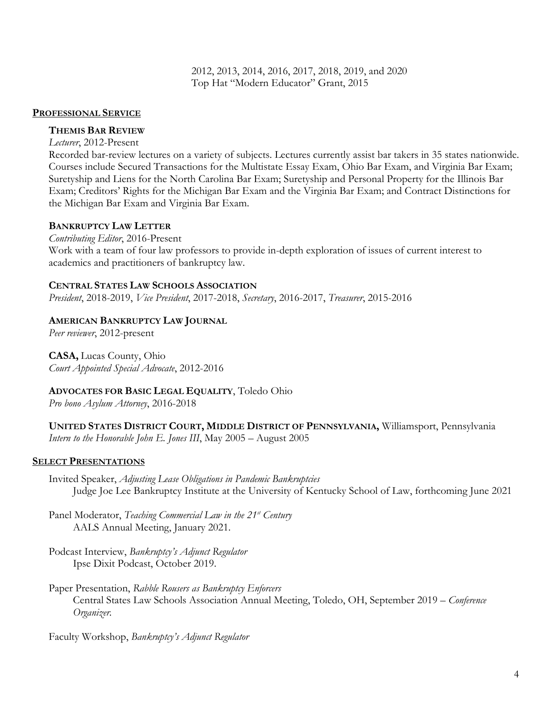2012, 2013, 2014, 2016, 2017, 2018, 2019, and 2020 Top Hat "Modern Educator" Grant, 2015

#### **PROFESSIONAL SERVICE**

#### **THEMIS BAR REVIEW**

*Lecturer*, 2012-Present

Recorded bar-review lectures on a variety of subjects. Lectures currently assist bar takers in 35 states nationwide. Courses include Secured Transactions for the Multistate Essay Exam, Ohio Bar Exam, and Virginia Bar Exam; Suretyship and Liens for the North Carolina Bar Exam; Suretyship and Personal Property for the Illinois Bar Exam; Creditors' Rights for the Michigan Bar Exam and the Virginia Bar Exam; and Contract Distinctions for the Michigan Bar Exam and Virginia Bar Exam.

#### **BANKRUPTCY LAW LETTER**

*Contributing Editor*, 2016-Present Work with a team of four law professors to provide in-depth exploration of issues of current interest to academics and practitioners of bankruptcy law.

#### **CENTRAL STATES LAW SCHOOLS ASSOCIATION**

*President*, 2018-2019, *Vice President*, 2017-2018, *Secretary*, 2016-2017, *Treasurer*, 2015-2016

#### **AMERICAN BANKRUPTCY LAW JOURNAL**

*Peer reviewer*, 2012-present

#### **CASA,** Lucas County, Ohio

*Court Appointed Special Advocate*, 2012-2016

## **ADVOCATES FOR BASIC LEGAL EQUALITY**, Toledo Ohio

*Pro bono Asylum Attorney*, 2016-2018

**UNITED STATES DISTRICT COURT, MIDDLE DISTRICT OF PENNSYLVANIA,** Williamsport, Pennsylvania *Intern to the Honorable John E. Jones III*, May 2005 – August 2005

#### **SELECT PRESENTATIONS**

Invited Speaker, *Adjusting Lease Obligations in Pandemic Bankruptcies* Judge Joe Lee Bankruptcy Institute at the University of Kentucky School of Law, forthcoming June 2021

Panel Moderator, *Teaching Commercial Law in the 21st Century* AALS Annual Meeting, January 2021.

- Podcast Interview, *Bankruptcy's Adjunct Regulator* Ipse Dixit Podcast, October 2019.
- Paper Presentation, *Rabble Rousers as Bankruptcy Enforcers* Central States Law Schools Association Annual Meeting, Toledo, OH, September 2019 – *Conference Organizer.*

Faculty Workshop, *Bankruptcy's Adjunct Regulator*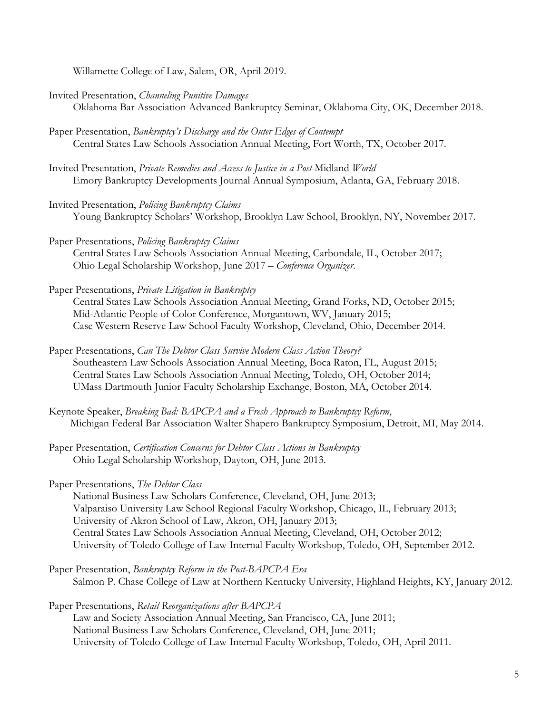Willamette College of Law, Salem, OR, April 2019.

Invited Presentation, *Channeling Punitive Damages*

Oklahoma Bar Association Advanced Bankruptcy Seminar, Oklahoma City, OK, December 2018.

- Paper Presentation, *Bankruptcy's Discharge and the Outer Edges of Contempt* Central States Law Schools Association Annual Meeting, Fort Worth, TX, October 2017.
- Invited Presentation, *Private Remedies and Access to Justice in a Post-*Midland *World* Emory Bankruptcy Developments Journal Annual Symposium, Atlanta, GA, February 2018.
- Invited Presentation, *Policing Bankruptcy Claims* Young Bankruptcy Scholars' Workshop, Brooklyn Law School, Brooklyn, NY, November 2017.
- Paper Presentations, *Policing Bankruptcy Claims* Central States Law Schools Association Annual Meeting, Carbondale, IL, October 2017; Ohio Legal Scholarship Workshop, June 2017 – *Conference Organizer.*
- Paper Presentations, *Private Litigation in Bankruptcy*

Central States Law Schools Association Annual Meeting, Grand Forks, ND, October 2015; Mid-Atlantic People of Color Conference, Morgantown, WV, January 2015; Case Western Reserve Law School Faculty Workshop, Cleveland, Ohio, December 2014.

- Paper Presentations, *Can The Debtor Class Survive Modern Class Action Theory?*  Southeastern Law Schools Association Annual Meeting, Boca Raton, FL, August 2015; Central States Law Schools Association Annual Meeting, Toledo, OH, October 2014; UMass Dartmouth Junior Faculty Scholarship Exchange, Boston, MA, October 2014.
- Keynote Speaker, *Breaking Bad: BAPCPA and a Fresh Approach to Bankruptcy Reform*, Michigan Federal Bar Association Walter Shapero Bankruptcy Symposium, Detroit, MI, May 2014.
- Paper Presentation, *Certification Concerns for Debtor Class Actions in Bankruptcy* Ohio Legal Scholarship Workshop, Dayton, OH, June 2013.

Paper Presentations, *The Debtor Class*

National Business Law Scholars Conference, Cleveland, OH, June 2013; Valparaiso University Law School Regional Faculty Workshop, Chicago, IL, February 2013; University of Akron School of Law, Akron, OH, January 2013; Central States Law Schools Association Annual Meeting, Cleveland, OH, October 2012; University of Toledo College of Law Internal Faculty Workshop, Toledo, OH, September 2012.

Paper Presentation, *Bankruptcy Reform in the Post-BAPCPA Era* Salmon P. Chase College of Law at Northern Kentucky University, Highland Heights, KY, January 2012.

Paper Presentations, *Retail Reorganizations after BAPCPA* Law and Society Association Annual Meeting, San Francisco, CA, June 2011; National Business Law Scholars Conference, Cleveland, OH, June 2011; University of Toledo College of Law Internal Faculty Workshop, Toledo, OH, April 2011.